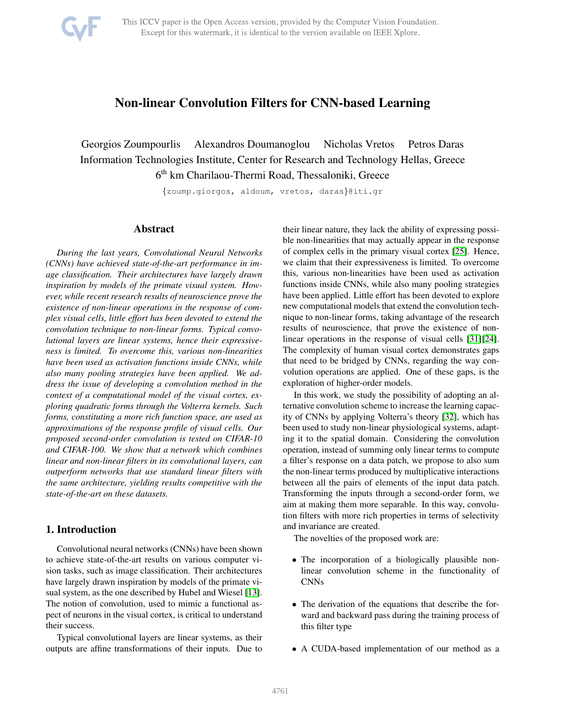

# Non-linear Convolution Filters for CNN-based Learning

Georgios Zoumpourlis Alexandros Doumanoglou Nicholas Vretos Petros Daras Information Technologies Institute, Center for Research and Technology Hellas, Greece 6 th km Charilaou-Thermi Road, Thessaloniki, Greece

{zoump.giorgos, aldoum, vretos, daras}@iti.gr

## Abstract

*During the last years, Convolutional Neural Networks (CNNs) have achieved state-of-the-art performance in image classification. Their architectures have largely drawn inspiration by models of the primate visual system. However, while recent research results of neuroscience prove the existence of non-linear operations in the response of complex visual cells, little effort has been devoted to extend the convolution technique to non-linear forms. Typical convolutional layers are linear systems, hence their expressiveness is limited. To overcome this, various non-linearities have been used as activation functions inside CNNs, while also many pooling strategies have been applied. We address the issue of developing a convolution method in the context of a computational model of the visual cortex, exploring quadratic forms through the Volterra kernels. Such forms, constituting a more rich function space, are used as approximations of the response profile of visual cells. Our proposed second-order convolution is tested on CIFAR-10 and CIFAR-100. We show that a network which combines linear and non-linear filters in its convolutional layers, can outperform networks that use standard linear filters with the same architecture, yielding results competitive with the state-of-the-art on these datasets.*

# 1. Introduction

Convolutional neural networks (CNNs) have been shown to achieve state-of-the-art results on various computer vision tasks, such as image classification. Their architectures have largely drawn inspiration by models of the primate visual system, as the one described by Hubel and Wiesel [\[13\]](#page-8-0). The notion of convolution, used to mimic a functional aspect of neurons in the visual cortex, is critical to understand their success.

Typical convolutional layers are linear systems, as their outputs are affine transformations of their inputs. Due to their linear nature, they lack the ability of expressing possible non-linearities that may actually appear in the response of complex cells in the primary visual cortex [\[25\]](#page-8-1). Hence, we claim that their expressiveness is limited. To overcome this, various non-linearities have been used as activation functions inside CNNs, while also many pooling strategies have been applied. Little effort has been devoted to explore new computational models that extend the convolution technique to non-linear forms, taking advantage of the research results of neuroscience, that prove the existence of nonlinear operations in the response of visual cells [\[31\]](#page-8-2)[\[24\]](#page-8-3). The complexity of human visual cortex demonstrates gaps that need to be bridged by CNNs, regarding the way convolution operations are applied. One of these gaps, is the exploration of higher-order models.

In this work, we study the possibility of adopting an alternative convolution scheme to increase the learning capacity of CNNs by applying Volterra's theory [\[32\]](#page-8-4), which has been used to study non-linear physiological systems, adapting it to the spatial domain. Considering the convolution operation, instead of summing only linear terms to compute a filter's response on a data patch, we propose to also sum the non-linear terms produced by multiplicative interactions between all the pairs of elements of the input data patch. Transforming the inputs through a second-order form, we aim at making them more separable. In this way, convolution filters with more rich properties in terms of selectivity and invariance are created.

The novelties of the proposed work are:

- The incorporation of a biologically plausible nonlinear convolution scheme in the functionality of CNNs
- The derivation of the equations that describe the forward and backward pass during the training process of this filter type
- A CUDA-based implementation of our method as a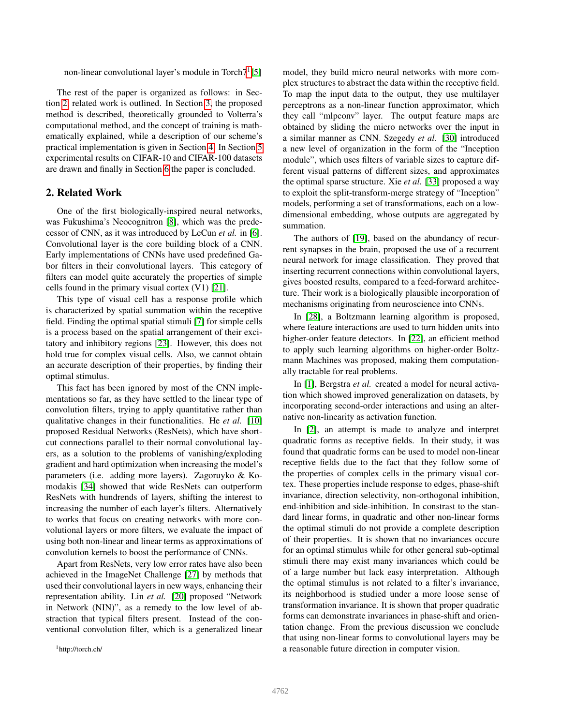non-linear convolutional layer's module in Torch $7^1[5]$  $7^1[5]$  $7^1[5]$ 

The rest of the paper is organized as follows: in Section [2,](#page-1-1) related work is outlined. In Section [3,](#page-2-0) the proposed method is described, theoretically grounded to Volterra's computational method, and the concept of training is mathematically explained, while a description of our scheme's practical implementation is given in Section [4.](#page-3-0) In Section [5](#page-3-1) experimental results on CIFAR-10 and CIFAR-100 datasets are drawn and finally in Section [6](#page-6-0) the paper is concluded.

## <span id="page-1-1"></span>2. Related Work

One of the first biologically-inspired neural networks, was Fukushima's Neocognitron [\[8\]](#page-8-6), which was the predecessor of CNN, as it was introduced by LeCun *et al.* in [\[6\]](#page-8-7). Convolutional layer is the core building block of a CNN. Early implementations of CNNs have used predefined Gabor filters in their convolutional layers. This category of filters can model quite accurately the properties of simple cells found in the primary visual cortex (V1) [\[21\]](#page-8-8).

This type of visual cell has a response profile which is characterized by spatial summation within the receptive field. Finding the optimal spatial stimuli [\[7\]](#page-8-9) for simple cells is a process based on the spatial arrangement of their excitatory and inhibitory regions [\[23\]](#page-8-10). However, this does not hold true for complex visual cells. Also, we cannot obtain an accurate description of their properties, by finding their optimal stimulus.

This fact has been ignored by most of the CNN implementations so far, as they have settled to the linear type of convolution filters, trying to apply quantitative rather than qualitative changes in their functionalities. He *et al.* [\[10\]](#page-8-11) proposed Residual Networks (ResNets), which have shortcut connections parallel to their normal convolutional layers, as a solution to the problems of vanishing/exploding gradient and hard optimization when increasing the model's parameters (i.e. adding more layers). Zagoruyko & Komodakis [\[34\]](#page-8-12) showed that wide ResNets can outperform ResNets with hundrends of layers, shifting the interest to increasing the number of each layer's filters. Alternatively to works that focus on creating networks with more convolutional layers or more filters, we evaluate the impact of using both non-linear and linear terms as approximations of convolution kernels to boost the performance of CNNs.

Apart from ResNets, very low error rates have also been achieved in the ImageNet Challenge [\[27\]](#page-8-13) by methods that used their convolutional layers in new ways, enhancing their representation ability. Lin *et al.* [\[20\]](#page-8-14) proposed "Network in Network (NIN)", as a remedy to the low level of abstraction that typical filters present. Instead of the conventional convolution filter, which is a generalized linear model, they build micro neural networks with more complex structures to abstract the data within the receptive field. To map the input data to the output, they use multilayer perceptrons as a non-linear function approximator, which they call "mlpconv" layer. The output feature maps are obtained by sliding the micro networks over the input in a similar manner as CNN. Szegedy *et al.* [\[30\]](#page-8-15) introduced a new level of organization in the form of the "Inception module", which uses filters of variable sizes to capture different visual patterns of different sizes, and approximates the optimal sparse structure. Xie *et al.* [\[33\]](#page-8-16) proposed a way to exploit the split-transform-merge strategy of "Inception" models, performing a set of transformations, each on a lowdimensional embedding, whose outputs are aggregated by summation.

The authors of [\[19\]](#page-8-17), based on the abundancy of recurrent synapses in the brain, proposed the use of a recurrent neural network for image classification. They proved that inserting recurrent connections within convolutional layers, gives boosted results, compared to a feed-forward architecture. Their work is a biologically plausible incorporation of mechanisms originating from neuroscience into CNNs.

In [\[28\]](#page-8-18), a Boltzmann learning algorithm is proposed, where feature interactions are used to turn hidden units into higher-order feature detectors. In [\[22\]](#page-8-19), an efficient method to apply such learning algorithms on higher-order Boltzmann Machines was proposed, making them computationally tractable for real problems.

In [\[1\]](#page-8-20), Bergstra *et al.* created a model for neural activation which showed improved generalization on datasets, by incorporating second-order interactions and using an alternative non-linearity as activation function.

In [\[2\]](#page-8-21), an attempt is made to analyze and interpret quadratic forms as receptive fields. In their study, it was found that quadratic forms can be used to model non-linear receptive fields due to the fact that they follow some of the properties of complex cells in the primary visual cortex. These properties include response to edges, phase-shift invariance, direction selectivity, non-orthogonal inhibition, end-inhibition and side-inhibition. In constrast to the standard linear forms, in quadratic and other non-linear forms the optimal stimuli do not provide a complete description of their properties. It is shown that no invariances occure for an optimal stimulus while for other general sub-optimal stimuli there may exist many invariances which could be of a large number but lack easy interpretation. Although the optimal stimulus is not related to a filter's invariance, its neighborhood is studied under a more loose sense of transformation invariance. It is shown that proper quadratic forms can demonstrate invariances in phase-shift and orientation change. From the previous discussion we conclude that using non-linear forms to convolutional layers may be a reasonable future direction in computer vision.

<span id="page-1-0"></span><sup>1</sup>http://torch.ch/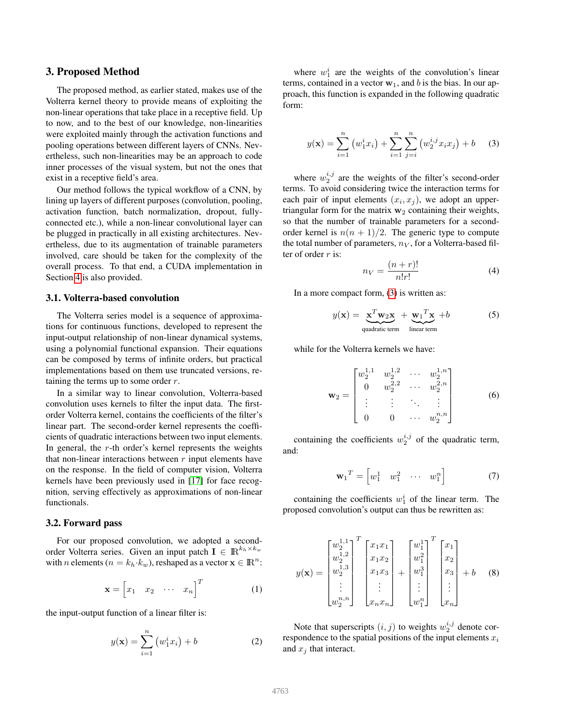## <span id="page-2-0"></span>3. Proposed Method

The proposed method, as earlier stated, makes use of the Volterra kernel theory to provide means of exploiting the non-linear operations that take place in a receptive field. Up to now, and to the best of our knowledge, non-linearities were exploited mainly through the activation functions and pooling operations between different layers of CNNs. Nevertheless, such non-linearities may be an approach to code inner processes of the visual system, but not the ones that exist in a receptive field's area.

Our method follows the typical workflow of a CNN, by lining up layers of different purposes (convolution, pooling, activation function, batch normalization, dropout, fullyconnected etc.), while a non-linear convolutional layer can be plugged in practically in all existing architectures. Nevertheless, due to its augmentation of trainable parameters involved, care should be taken for the complexity of the overall process. To that end, a CUDA implementation in Section [4](#page-3-0) is also provided.

#### 3.1. Volterra-based convolution

The Volterra series model is a sequence of approximations for continuous functions, developed to represent the input-output relationship of non-linear dynamical systems, using a polynomial functional expansion. Their equations can be composed by terms of infinite orders, but practical implementations based on them use truncated versions, retaining the terms up to some order  $r$ .

In a similar way to linear convolution, Volterra-based convolution uses kernels to filter the input data. The firstorder Volterra kernel, contains the coefficients of the filter's linear part. The second-order kernel represents the coefficients of quadratic interactions between two input elements. In general, the  $r$ -th order's kernel represents the weights that non-linear interactions between  $r$  input elements have on the response. In the field of computer vision, Volterra kernels have been previously used in [\[17\]](#page-8-22) for face recognition, serving effectively as approximations of non-linear functionals.

## 3.2. Forward pass

For our proposed convolution, we adopted a secondorder Volterra series. Given an input patch  $I \in \mathbb{R}^{k_h \times k_w}$ with *n* elements ( $n = k_h \cdot k_w$ ), reshaped as a vector  $\mathbf{x} \in \mathbb{R}^n$ :

$$
\mathbf{x} = \begin{bmatrix} x_1 & x_2 & \cdots & x_n \end{bmatrix}^T \tag{1}
$$

the input-output function of a linear filter is:

$$
y(\mathbf{x}) = \sum_{i=1}^{n} (w_1^i x_i) + b
$$
 (2)

where  $w_1^i$  are the weights of the convolution's linear terms, contained in a vector  $w_1$ , and b is the bias. In our approach, this function is expanded in the following quadratic form:

<span id="page-2-1"></span>
$$
y(\mathbf{x}) = \sum_{i=1}^{n} (w_1^i x_i) + \sum_{i=1}^{n} \sum_{j=i}^{n} (w_2^{i,j} x_i x_j) + b \quad (3)
$$

where  $w_2^{i,j}$  are the weights of the filter's second-order terms. To avoid considering twice the interaction terms for each pair of input elements  $(x_i, x_j)$ , we adopt an uppertriangular form for the matrix  $w_2$  containing their weights, so that the number of trainable parameters for a secondorder kernel is  $n(n + 1)/2$ . The generic type to compute the total number of parameters,  $n_V$ , for a Volterra-based filter of order  $r$  is:

$$
n_V = \frac{(n+r)!}{n!r!} \tag{4}
$$

In a more compact form, [\(3\)](#page-2-1) is written as:

$$
y(\mathbf{x}) = \underbrace{\mathbf{x}^T \mathbf{w}_2 \mathbf{x}}_{\text{quadratic term}} + \underbrace{\mathbf{w}_1^T \mathbf{x}}_{\text{linear term}} + b \tag{5}
$$

while for the Volterra kernels we have:

$$
\mathbf{w}_2 = \begin{bmatrix} w_2^{1,1} & w_2^{1,2} & \cdots & w_2^{1,n} \\ 0 & w_2^{2,2} & \cdots & w_2^{2,n} \\ \vdots & \vdots & \ddots & \vdots \\ 0 & 0 & \cdots & w_2^{n,n} \end{bmatrix}
$$
 (6)

containing the coefficients  $w_2^{i,j}$  of the quadratic term, and:

$$
\mathbf{w}_1^T = \begin{bmatrix} w_1^1 & w_1^2 & \cdots & w_1^n \end{bmatrix} \tag{7}
$$

containing the coefficients  $w_1^i$  of the linear term. The proposed convolution's output can thus be rewritten as:

$$
y(\mathbf{x}) = \begin{bmatrix} w_2^{1,1} \\ w_2^{1,2} \\ w_2^{1,3} \\ \vdots \\ w_2^{n,n} \end{bmatrix}^T \begin{bmatrix} x_1 x_1 \\ x_1 x_2 \\ x_1 x_3 \\ \vdots \\ x_n x_n \end{bmatrix} + \begin{bmatrix} w_1^1 \\ w_1^2 \\ w_1^3 \\ \vdots \\ w_1^n \end{bmatrix}^T \begin{bmatrix} x_1 \\ x_2 \\ x_3 \\ \vdots \\ x_n \end{bmatrix} + b \quad (8)
$$

Note that superscripts  $(i, j)$  to weights  $w_2^{i, j}$  denote correspondence to the spatial positions of the input elements  $x_i$ and  $x_j$  that interact.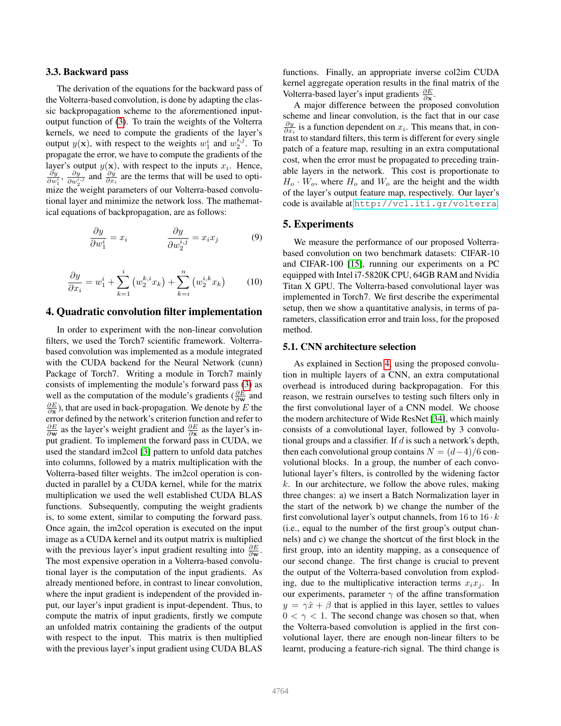#### 3.3. Backward pass

The derivation of the equations for the backward pass of the Volterra-based convolution, is done by adapting the classic backpropagation scheme to the aforementioned inputoutput function of [\(3\)](#page-2-1). To train the weights of the Volterra kernels, we need to compute the gradients of the layer's output  $y(\mathbf{x})$ , with respect to the weights  $w_1^i$  and  $w_2^{i,j}$ . To propagate the error, we have to compute the gradients of the layer's output  $y(x)$ , with respect to the inputs  $x_i$ . Hence,  $\frac{\partial y}{\partial w_i^i}$ ,  $\frac{\partial y}{\partial w_i^{i,j}}$  and  $\frac{\partial y}{\partial x_i}$  are the terms that will be used to optimize the weight parameters of our Volterra-based convolutional layer and minimize the network loss. The mathematical equations of backpropagation, are as follows:

$$
\frac{\partial y}{\partial w_1^i} = x_i \qquad \qquad \frac{\partial y}{\partial w_2^{i,j}} = x_i x_j \qquad \qquad (9)
$$

$$
\frac{\partial y}{\partial x_i} = w_1^i + \sum_{k=1}^i \left( w_2^{k,i} x_k \right) + \sum_{k=i}^n \left( w_2^{i,k} x_k \right) \tag{10}
$$

## <span id="page-3-0"></span>4. Quadratic convolution filter implementation

In order to experiment with the non-linear convolution filters, we used the Torch7 scientific framework. Volterrabased convolution was implemented as a module integrated with the CUDA backend for the Neural Network (cunn) Package of Torch7. Writing a module in Torch7 mainly consists of implementing the module's forward pass [\(3\)](#page-2-1) as well as the computation of the module's gradients ( $\frac{\partial E}{\partial \mathbf{w}}$  and  $\frac{\partial E}{\partial x}$ ), that are used in back-propagation. We denote by E the error defined by the network's criterion function and refer to  $\frac{\partial E}{\partial \mathbf{w}}$  as the layer's weight gradient and  $\frac{\partial E}{\partial \mathbf{x}}$  as the layer's input gradient. To implement the forward pass in CUDA, we used the standard im2col [\[3\]](#page-8-23) pattern to unfold data patches into columns, followed by a matrix multiplication with the Volterra-based filter weights. The im2col operation is conducted in parallel by a CUDA kernel, while for the matrix multiplication we used the well established CUDA BLAS functions. Subsequently, computing the weight gradients is, to some extent, similar to computing the forward pass. Once again, the im2col operation is executed on the input image as a CUDA kernel and its output matrix is multiplied with the previous layer's input gradient resulting into  $\frac{\partial E}{\partial \mathbf{w}}$ . The most expensive operation in a Volterra-based convolutional layer is the computation of the input gradients. As already mentioned before, in contrast to linear convolution, where the input gradient is independent of the provided input, our layer's input gradient is input-dependent. Thus, to compute the matrix of input gradients, firstly we compute an unfolded matrix containing the gradients of the output with respect to the input. This matrix is then multiplied with the previous layer's input gradient using CUDA BLAS

functions. Finally, an appropriate inverse col2im CUDA kernel aggregate operation results in the final matrix of the Volterra-based layer's input gradients  $\frac{\partial E}{\partial x}$ .

A major difference between the proposed convolution scheme and linear convolution, is the fact that in our case  $\frac{\partial y}{\partial x_i}$  is a function dependent on  $x_i$ . This means that, in contrast to standard filters, this term is different for every single patch of a feature map, resulting in an extra computational cost, when the error must be propagated to preceding trainable layers in the network. This cost is proportionate to  $H_o \cdot W_o$ , where  $H_o$  and  $W_o$  are the height and the width of the layer's output feature map, respectively. Our layer's code is available at <http://vcl.iti.gr/volterra>.

#### <span id="page-3-1"></span>5. Experiments

We measure the performance of our proposed Volterrabased convolution on two benchmark datasets: CIFAR-10 and CIFAR-100 [\[15\]](#page-8-24), running our experiments on a PC equipped with Intel i7-5820K CPU, 64GB RAM and Nvidia Titan X GPU. The Volterra-based convolutional layer was implemented in Torch7. We first describe the experimental setup, then we show a quantitative analysis, in terms of parameters, classification error and train loss, for the proposed method.

#### 5.1. CNN architecture selection

As explained in Section [4,](#page-3-0) using the proposed convolution in multiple layers of a CNN, an extra computational overhead is introduced during backpropagation. For this reason, we restrain ourselves to testing such filters only in the first convolutional layer of a CNN model. We choose the modern architecture of Wide ResNet [\[34\]](#page-8-12), which mainly consists of a convolutional layer, followed by 3 convolutional groups and a classifier. If  $d$  is such a network's depth, then each convolutional group contains  $N = (d-4)/6$  convolutional blocks. In a group, the number of each convolutional layer's filters, is controlled by the widening factor  $k$ . In our architecture, we follow the above rules, making three changes: a) we insert a Batch Normalization layer in the start of the network b) we change the number of the first convolutional layer's output channels, from 16 to  $16 \cdot k$ (i.e., equal to the number of the first group's output channels) and c) we change the shortcut of the first block in the first group, into an identity mapping, as a consequence of our second change. The first change is crucial to prevent the output of the Volterra-based convolution from exploding, due to the multiplicative interaction terms  $x_i x_j$ . In our experiments, parameter  $\gamma$  of the affine transformation  $y = \gamma \hat{x} + \beta$  that is applied in this layer, settles to values  $0 < \gamma < 1$ . The second change was chosen so that, when the Volterra-based convolution is applied in the first convolutional layer, there are enough non-linear filters to be learnt, producing a feature-rich signal. The third change is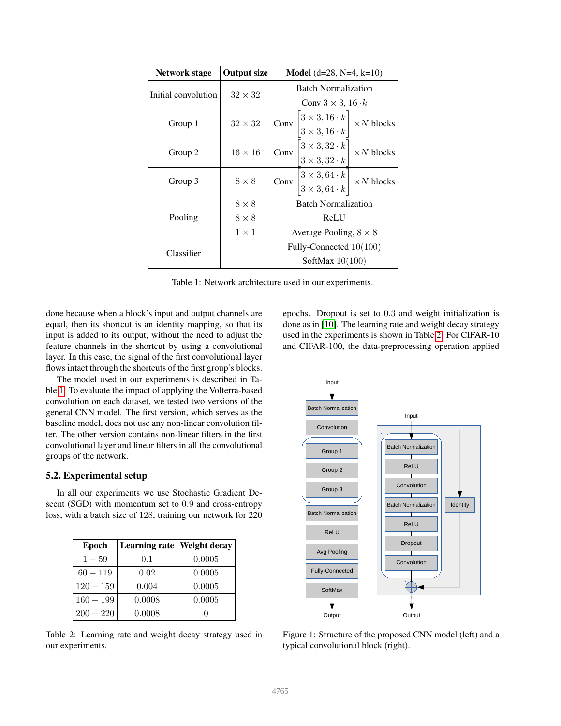<span id="page-4-0"></span>

| <b>Network stage</b> | <b>Output size</b> | <b>Model</b> (d=28, N=4, k=10)   |                                                                                   |                   |
|----------------------|--------------------|----------------------------------|-----------------------------------------------------------------------------------|-------------------|
| Initial convolution  | $32 \times 32$     | <b>Batch Normalization</b>       |                                                                                   |                   |
|                      |                    | Conv $3 \times 3$ , $16 \cdot k$ |                                                                                   |                   |
| Group 1              | $32 \times 32$     | Conv                             | $3 \times 3, 16 \cdot k$                                                          | $\times N$ blocks |
|                      |                    |                                  | $3 \times 3, 16 \cdot k$                                                          |                   |
| Group 2              | $16 \times 16$     | Conv                             | $3 \times 3, 32 \cdot k$                                                          | $\times N$ blocks |
|                      |                    |                                  | $3 \times 3, 32 \cdot k$                                                          |                   |
| Group 3              | $8 \times 8$       | Conv                             | $\begin{array}{c c} 3 \times 3, 64 \cdot k \\ 3 \times 3, 64 \cdot k \end{array}$ | $\times N$ blocks |
|                      |                    |                                  |                                                                                   |                   |
|                      | $8 \times 8$       | <b>Batch Normalization</b>       |                                                                                   |                   |
| Pooling              | $8 \times 8$       | ReLU                             |                                                                                   |                   |
|                      | $1 \times 1$       | Average Pooling, $8 \times 8$    |                                                                                   |                   |
| Classifier           |                    | Fully-Connected 10(100)          |                                                                                   |                   |
|                      |                    | SoftMax $10(100)$                |                                                                                   |                   |

Table 1: Network architecture used in our experiments.

done because when a block's input and output channels are equal, then its shortcut is an identity mapping, so that its input is added to its output, without the need to adjust the feature channels in the shortcut by using a convolutional layer. In this case, the signal of the first convolutional layer flows intact through the shortcuts of the first group's blocks.

The model used in our experiments is described in Table [1.](#page-4-0) To evaluate the impact of applying the Volterra-based convolution on each dataset, we tested two versions of the general CNN model. The first version, which serves as the baseline model, does not use any non-linear convolution filter. The other version contains non-linear filters in the first convolutional layer and linear filters in all the convolutional groups of the network.

#### 5.2. Experimental setup

In all our experiments we use Stochastic Gradient Descent (SGD) with momentum set to 0.9 and cross-entropy loss, with a batch size of 128, training our network for 220

<span id="page-4-1"></span>

| <b>Epoch</b> | Learning rate   Weight decay |        |
|--------------|------------------------------|--------|
| $1 - 59$     | 0.1                          | 0.0005 |
| $60 - 119$   | 0.02                         | 0.0005 |
| $120 - 159$  | 0.004                        | 0.0005 |
| $160 - 199$  | 0.0008                       | 0.0005 |
| $200 - 220$  | 0.0008                       |        |

Table 2: Learning rate and weight decay strategy used in our experiments.

epochs. Dropout is set to 0.3 and weight initialization is done as in [\[10\]](#page-8-11). The learning rate and weight decay strategy used in the experiments is shown in Table [2.](#page-4-1) For CIFAR-10 and CIFAR-100, the data-preprocessing operation applied



Figure 1: Structure of the proposed CNN model (left) and a typical convolutional block (right).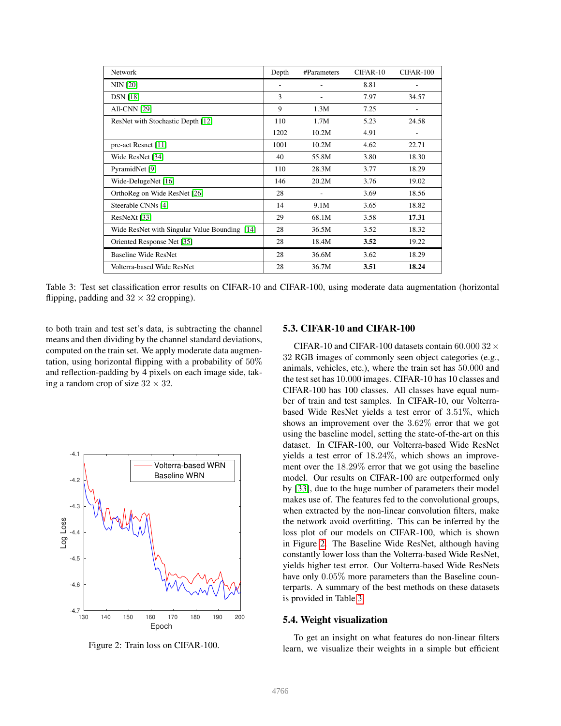<span id="page-5-1"></span>

| <b>Network</b>                                | Depth | #Parameters | CIFAR-10 | CIFAR-100 |
|-----------------------------------------------|-------|-------------|----------|-----------|
| <b>NIN</b> [20]                               | ٠     |             | 8.81     |           |
| <b>DSN</b> [18]                               | 3     |             | 7.97     | 34.57     |
| <b>All-CNN [29]</b>                           | 9     | 1.3M        | 7.25     |           |
| ResNet with Stochastic Depth [12]             | 110   | 1.7M        | 5.23     | 24.58     |
|                                               | 1202  | 10.2M       | 4.91     |           |
| pre-act Resnet [11]                           | 1001  | 10.2M       | 4.62     | 22.71     |
| Wide ResNet [34]                              | 40    | 55.8M       | 3.80     | 18.30     |
| PyramidNet [9]                                | 110   | 28.3M       | 3.77     | 18.29     |
| Wide-DelugeNet [16]                           | 146   | 20.2M       | 3.76     | 19.02     |
| OrthoReg on Wide ResNet [26]                  | 28    |             | 3.69     | 18.56     |
| Steerable CNNs [4]                            | 14    | 9.1M        | 3.65     | 18.82     |
| ResNeXt [33]                                  | 29    | 68.1M       | 3.58     | 17.31     |
| Wide ResNet with Singular Value Bounding [14] | 28    | 36.5M       | 3.52     | 18.32     |
| Oriented Response Net [35]                    | 28    | 18.4M       | 3.52     | 19.22     |
| Baseline Wide ResNet                          | 28    | 36.6M       | 3.62     | 18.29     |
| Volterra-based Wide ResNet                    | 28    | 36.7M       | 3.51     | 18.24     |

Table 3: Test set classification error results on CIFAR-10 and CIFAR-100, using moderate data augmentation (horizontal flipping, padding and  $32 \times 32$  cropping).

to both train and test set's data, is subtracting the channel means and then dividing by the channel standard deviations, computed on the train set. We apply moderate data augmentation, using horizontal flipping with a probability of 50% and reflection-padding by 4 pixels on each image side, taking a random crop of size  $32 \times 32$ .

<span id="page-5-0"></span>

Figure 2: Train loss on CIFAR-100.

#### 5.3. CIFAR-10 and CIFAR-100

CIFAR-10 and CIFAR-100 datasets contain 60.000 32  $\times$ 32 RGB images of commonly seen object categories (e.g., animals, vehicles, etc.), where the train set has 50.000 and the test set has 10.000 images. CIFAR-10 has 10 classes and CIFAR-100 has 100 classes. All classes have equal number of train and test samples. In CIFAR-10, our Volterrabased Wide ResNet yields a test error of 3.51%, which shows an improvement over the 3.62% error that we got using the baseline model, setting the state-of-the-art on this dataset. In CIFAR-100, our Volterra-based Wide ResNet yields a test error of 18.24%, which shows an improvement over the 18.29% error that we got using the baseline model. Our results on CIFAR-100 are outperformed only by [\[33\]](#page-8-16), due to the huge number of parameters their model makes use of. The features fed to the convolutional groups, when extracted by the non-linear convolution filters, make the network avoid overfitting. This can be inferred by the loss plot of our models on CIFAR-100, which is shown in Figure [2.](#page-5-0) The Baseline Wide ResNet, although having constantly lower loss than the Volterra-based Wide ResNet, yields higher test error. Our Volterra-based Wide ResNets have only  $0.05\%$  more parameters than the Baseline counterparts. A summary of the best methods on these datasets is provided in Table [3.](#page-5-1)

#### 5.4. Weight visualization

To get an insight on what features do non-linear filters learn, we visualize their weights in a simple but efficient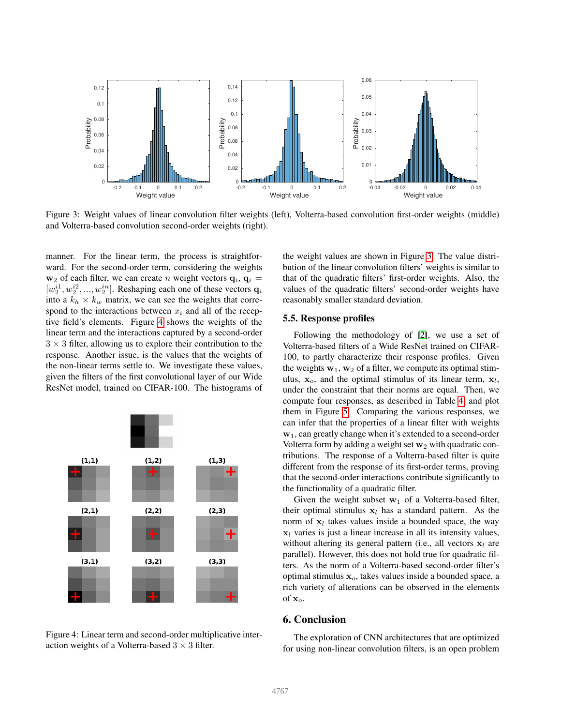<span id="page-6-2"></span>

Figure 3: Weight values of linear convolution filter weights (left), Volterra-based convolution first-order weights (middle) and Volterra-based convolution second-order weights (right).

manner. For the linear term, the process is straightforward. For the second-order term, considering the weights  $w_2$  of each filter, we can create n weight vectors  $q_i$ ,  $q_i$  =  $[w_2^{i_1}, w_2^{i_2}, ..., w_2^{i_n}]$ . Reshaping each one of these vectors  $\mathbf{q}_i$ into a  $k_h \times k_w$  matrix, we can see the weights that correspond to the interactions between  $x_i$  and all of the receptive field's elements. Figure [4](#page-6-1) shows the weights of the linear term and the interactions captured by a second-order  $3 \times 3$  filter, allowing us to explore their contribution to the response. Another issue, is the values that the weights of the non-linear terms settle to. We investigate these values, given the filters of the first convolutional layer of our Wide ResNet model, trained on CIFAR-100. The histograms of

<span id="page-6-1"></span>

Figure 4: Linear term and second-order multiplicative interaction weights of a Volterra-based  $3 \times 3$  filter.

the weight values are shown in Figure [3.](#page-6-2) The value distribution of the linear convolution filters' weights is similar to that of the quadratic filters' first-order weights. Also, the values of the quadratic filters' second-order weights have reasonably smaller standard deviation.

#### 5.5. Response profiles

Following the methodology of [\[2\]](#page-8-21), we use a set of Volterra-based filters of a Wide ResNet trained on CIFAR-100, to partly characterize their response profiles. Given the weights  $w_1, w_2$  of a filter, we compute its optimal stimulus,  $x_o$ , and the optimal stimulus of its linear term,  $x_l$ , under the constraint that their norms are equal. Then, we compute four responses, as described in Table [4,](#page-7-0) and plot them in Figure [5.](#page-7-1) Comparing the various responses, we can infer that the properties of a linear filter with weights w1, can greatly change when it's extended to a second-order Volterra form by adding a weight set  $w_2$  with quadratic contributions. The response of a Volterra-based filter is quite different from the response of its first-order terms, proving that the second-order interactions contribute significantly to the functionality of a quadratic filter.

Given the weight subset  $w_1$  of a Volterra-based filter, their optimal stimulus  $x_l$  has a standard pattern. As the norm of  $x_l$  takes values inside a bounded space, the way  $x_l$  varies is just a linear increase in all its intensity values, without altering its general pattern (i.e., all vectors  $x_l$  are parallel). However, this does not hold true for quadratic filters. As the norm of a Volterra-based second-order filter's optimal stimulus  $x<sub>o</sub>$ , takes values inside a bounded space, a rich variety of alterations can be observed in the elements of  $x_o$ .

## <span id="page-6-0"></span>6. Conclusion

The exploration of CNN architectures that are optimized for using non-linear convolution filters, is an open problem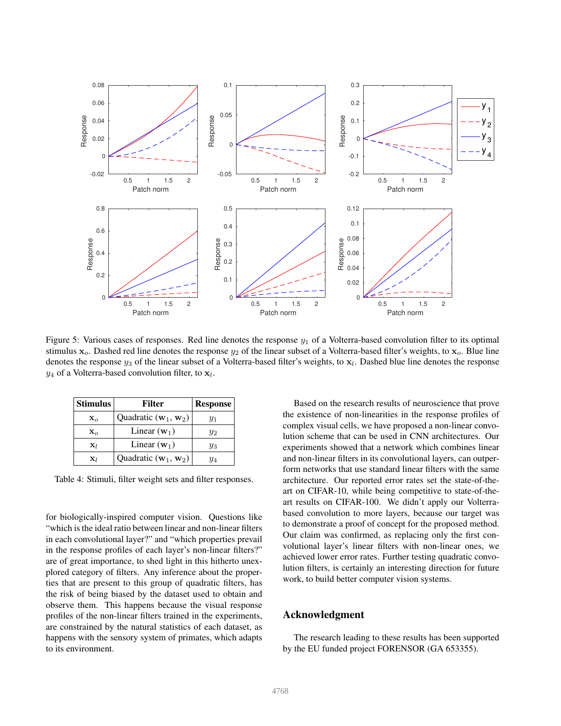<span id="page-7-1"></span>

Figure 5: Various cases of responses. Red line denotes the response  $y_1$  of a Volterra-based convolution filter to its optimal stimulus  $x_o$ . Dashed red line denotes the response  $y_2$  of the linear subset of a Volterra-based filter's weights, to  $x_o$ . Blue line denotes the response  $y_3$  of the linear subset of a Volterra-based filter's weights, to  $x_l$ . Dashed blue line denotes the response  $y_4$  of a Volterra-based convolution filter, to  $x_l$ .

<span id="page-7-0"></span>

| <b>Stimulus</b> | Filter                                   | <b>Response</b> |  |
|-----------------|------------------------------------------|-----------------|--|
| $\mathbf{x}_o$  | Quadratic $(\mathbf{w}_1, \mathbf{w}_2)$ | Y1              |  |
| $\mathbf{x}_o$  | Linear $(\mathbf{w}_1)$                  | $y_2$           |  |
| $\mathbf{x}_l$  | Linear $(w_1)$                           | Yз              |  |
| $\mathbf{x}_l$  | Quadratic $(\mathbf{w}_1, \mathbf{w}_2)$ | Y4              |  |

Table 4: Stimuli, filter weight sets and filter responses.

for biologically-inspired computer vision. Questions like "which is the ideal ratio between linear and non-linear filters in each convolutional layer?" and "which properties prevail in the response profiles of each layer's non-linear filters?" are of great importance, to shed light in this hitherto unexplored category of filters. Any inference about the properties that are present to this group of quadratic filters, has the risk of being biased by the dataset used to obtain and observe them. This happens because the visual response profiles of the non-linear filters trained in the experiments, are constrained by the natural statistics of each dataset, as happens with the sensory system of primates, which adapts to its environment.

Based on the research results of neuroscience that prove the existence of non-linearities in the response profiles of complex visual cells, we have proposed a non-linear convolution scheme that can be used in CNN architectures. Our experiments showed that a network which combines linear and non-linear filters in its convolutional layers, can outperform networks that use standard linear filters with the same architecture. Our reported error rates set the state-of-theart on CIFAR-10, while being competitive to state-of-theart results on CIFAR-100. We didn't apply our Volterrabased convolution to more layers, because our target was to demonstrate a proof of concept for the proposed method. Our claim was confirmed, as replacing only the first convolutional layer's linear filters with non-linear ones, we achieved lower error rates. Further testing quadratic convolution filters, is certainly an interesting direction for future work, to build better computer vision systems.

# Acknowledgment

The research leading to these results has been supported by the EU funded project FORENSOR (GA 653355).